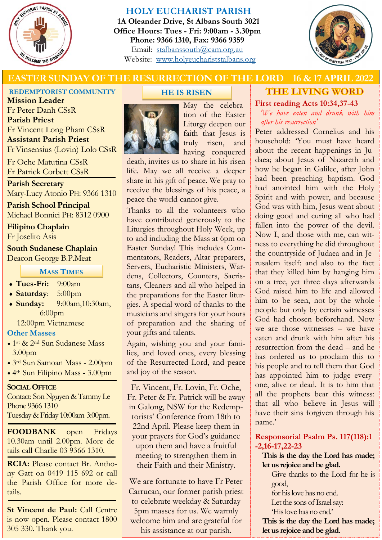

# **HOLY EUCHARIST PARISH**

**1A Oleander Drive, St Albans South 3021 Office Hours: Tues - Fri: 9:00am - 3.30pm Phone: 9366 1310, Fax: 9366 9359** Email: [stalbanssouth@cam.org.au](mailto:stalbanssouth@cam.org.au) Website:[www.holyeuchariststalbans.org](http://www.holyeuchariststalbans.org)



# **EASTER SUNDAY OF THE RESURRECTION OF THE LORD 16 & 17 APRIL 2022**

**REDEMPTORIST COMMUNITY**

**Mission Leader** Fr Peter Danh CSsR **Parish Priest** Fr Vincent Long Pham CSsR **Assistant Parish Priest**  Fr Vinsensius (Lovin) Lolo CSsR

Fr Oche Matutina CSsR Fr Patrick Corbett CSsR

**Parish Secretary** Mary-Lucy Atonio PH: 9366 1310

**Parish School Principal** Michael Bonnici PH: 8312 0900

**Filipino Chaplain** Fr Joselito Asis

**South Sudanese Chaplain** Deacon George B.P.Meat

**MASS TIMES**

- **Tues-Fri:** 9:00am
- **Saturday**: 5:00pm
- **Sunday:** 9:00am,10:30am, 6:00pm

12:00pm Vietnamese

### **Other Masses**

- 1st & 2nd Sun Sudanese Mass -3.00pm
- 3rd Sun Samoan Mass 2.00pm
- 4th Sun Filipino Mass 3.00pm

**SOCIAL OFFICE**

Contact: Son Nguyen & Tammy Le Phone 9366 1310 Tuesday & Friday 10:00am-3:00pm.

**FOODBANK** open Fridays 10.30am until 2.00pm. More details call Charlie 03 9366 1310.

**RCIA:** Please contact Br. Anthony Gatt on 0419 115 692 or call the Parish Office for more details.

**St Vincent de Paul:** Call Centre is now open. Please contact 1800 305 330. Thank you.

### **HE IS RISEN**



May the celebration of the Easter Liturgy deepen our faith that Jesus is truly risen, and having conquered

death, invites us to share in his risen life. May we all receive a deeper share in his gift of peace. We pray to receive the blessings of his peace, a peace the world cannot give.

Thanks to all the volunteers who have contributed generously to the Liturgies throughout Holy Week, up to and including the Mass at 6pm on Easter Sunday! This includes Commentators, Readers, Altar preparers, Servers, Eucharistic Ministers, Wardens, Collectors, Counters, Sacristans, Cleaners and all who helped in the preparations for the Easter liturgies. A special word of thanks to the musicians and singers for your hours of preparation and the sharing of your gifts and talents.

Again, wishing you and your families, and loved ones, every blessing of the Resurrected Lord, and peace and joy of the season.

Fr. Vincent, Fr. Lovin, Fr. Oche, Fr. Peter & Fr. Patrick will be away in Galong, NSW for the Redemptorists' Conference from 18th to 22nd April. Please keep them in your prayers for God's guidance upon them and have a fruitful meeting to strengthen them in their Faith and their Ministry.

We are fortunate to have Fr Peter Carrucan, our former parish priest to celebrate weekday & Saturday 5pm masses for us. We warmly welcome him and are grateful for his assistance at our parish.

# **THE LIVING WORD**

### **First reading Acts 10:34,37-43**

*'We have eaten and drunk with him after his resurrection'*

Peter addressed Cornelius and his household: 'You must have heard about the recent happenings in Judaea; about Jesus of Nazareth and how he began in Galilee, after John had been preaching baptism. God had anointed him with the Holy Spirit and with power, and because God was with him, Jesus went about doing good and curing all who had fallen into the power of the devil. Now I, and those with me, can witness to everything he did throughout the countryside of Judaea and in Jerusalem itself: and also to the fact that they killed him by hanging him on a tree, yet three days afterwards God raised him to life and allowed him to be seen, not by the whole people but only by certain witnesses God had chosen beforehand. Now we are those witnesses – we have eaten and drunk with him after his resurrection from the dead – and he has ordered us to proclaim this to his people and to tell them that God has appointed him to judge everyone, alive or dead. It is to him that all the prophets bear this witness: that all who believe in Jesus will have their sins forgiven through his name.'

### **Responsorial Psalm Ps. 117(118):1 -2,16-17,22-23**

#### **This is the day the Lord has made; let us rejoice and be glad.**

Give thanks to the Lord for he is good,

for his love has no end.

Let the sons of Israel say:

'His love has no end.'

**This is the day the Lord has made; let us rejoice and be glad.**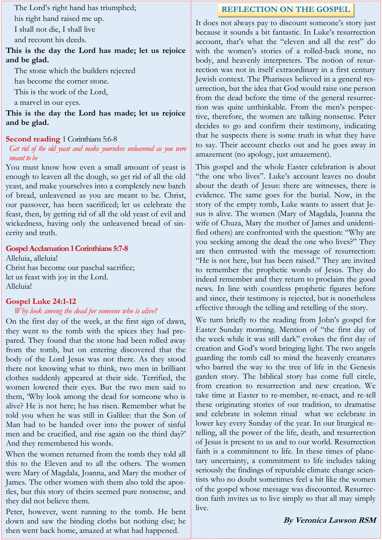The Lord's right hand has triumphed; his right hand raised me up. I shall not die, I shall live

and recount his deeds.

**This is the day the Lord has made; let us rejoice and be glad.**

The stone which the builders rejected

has become the corner stone.

This is the work of the Lord,

a marvel in our eyes.

**This is the day the Lord has made; let us rejoice and be glad.**

#### **Second reading** 1 Corinthians 5:6-8

*Get rid of the old yeast and make yourselves unleavened as you were meant to be*

You must know how even a small amount of yeast is enough to leaven all the dough, so get rid of all the old yeast, and make yourselves into a completely new batch of bread, unleavened as you are meant to be. Christ, our passover, has been sacrificed; let us celebrate the feast, then, by getting rid of all the old yeast of evil and wickedness, having only the unleavened bread of sincerity and truth.

#### **Gospel Acclamation 1 Corinthians 5:7-8**

Alleluia, alleluia! Christ has become our paschal sacrifice; let us feast with joy in the Lord. Alleluia!

#### **Gospel Luke 24:1-12**

#### *Why look among the dead for someone who is alive?*

On the first day of the week, at the first sign of dawn, they went to the tomb with the spices they had prepared. They found that the stone had been rolled away from the tomb, but on entering discovered that the body of the Lord Jesus was not there. As they stood there not knowing what to think, two men in brilliant clothes suddenly appeared at their side. Terrified, the women lowered their eyes. But the two men said to them, 'Why look among the dead for someone who is alive? He is not here; he has risen. Remember what he told you when he was still in Galilee: that the Son of Man had to be handed over into the power of sinful men and be crucified, and rise again on the third day?' And they remembered his words.

When the women returned from the tomb they told all this to the Eleven and to all the others. The women were Mary of Magdala, Joanna, and Mary the mother of James. The other women with them also told the apostles, but this story of theirs seemed pure nonsense, and they did not believe them.

Peter, however, went running to the tomb. He bent down and saw the binding cloths but nothing else; he then went back home, amazed at what had happened.

#### **REFLECTION ON THE GOSPEL**

It does not always pay to discount someone's story just because it sounds a bit fantastic. In Luke's resurrection account, that's what the "eleven and all the rest" do with the women's stories of a rolled-back stone, no body, and heavenly interpreters. The notion of resurrection was not in itself extraordinary in a first century Jewish context. The Pharisees believed in a general resurrection, but the idea that God would raise one person from the dead before the time of the general resurrection was quite unthinkable. From the men's perspective, therefore, the women are talking nonsense. Peter decides to go and confirm their testimony, indicating that he suspects there is some truth in what they have to say. Their account checks out and he goes away in amazement (no apology, just amazement).

This gospel and the whole Easter celebration is about "the one who lives". Luke's account leaves no doubt about the death of Jesus: there are witnesses, there is evidence. The same goes for the burial. Now, in the story of the empty tomb, Luke wants to assert that Jesus is alive. The women (Mary of Magdala, Joanna the wife of Chuza, Mary the mother of James and unidentified others) are confronted with the question: "Why are you seeking among the dead the one who lives?" They are then entrusted with the message of resurrection: "He is not here, but has been raised." They are invited to remember the prophetic words of Jesus. They do indeed remember and they return to proclaim the good news. In line with countless prophetic figures before and since, their testimony is rejected, but is nonetheless effective through the telling and retelling of the story.

We turn briefly to the reading from John's gospel for Easter Sunday morning. Mention of "the first day of the week while it was still dark" evokes the first day of creation and God's word bringing light. The two angels guarding the tomb call to mind the heavenly creatures who barred the way to the tree of life in the Genesis garden story. The biblical story has come full circle, from creation to resurrection and new creation. We take time at Easter to re-member, re-enact, and re-tell these originating stories of our tradition, to dramatise and celebrate in solemn ritual what we celebrate in lower key every Sunday of the year. In our liturgical retelling, all the power of the life, death, and resurrection of Jesus is present to us and to our world. Resurrection faith is a commitment to life. In these times of planetary uncertainty, a commitment to life includes taking seriously the findings of reputable climate change scientists who no doubt sometimes feel a bit like the women of the gospel whose message was discounted. Resurrection faith invites us to live simply so that all may simply live.

**By Veronica Lawson RSM**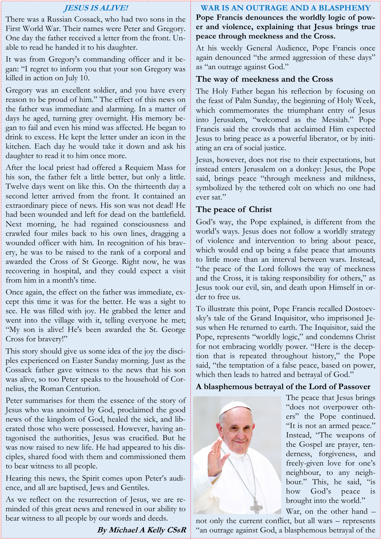### **JESUS IS ALIVE!**

There was a Russian Cossack, who had two sons in the First World War. Their names were Peter and Gregory. One day the father received a letter from the front. Unable to read he handed it to his daughter.

It was from Gregory's commanding officer and it began: "I regret to inform you that your son Gregory was killed in action on July 10.

Gregory was an excellent soldier, and you have every reason to be proud of him." The effect of this news on the father was immediate and alarming. In a matter of days he aged, turning grey overnight. His memory began to fail and even his mind was affected. He began to drink to excess. He kept the letter under an icon in the kitchen. Each day he would take it down and ask his daughter to read it to him once more.

After the local priest had offered a Requiem Mass for his son, the father felt a little better, but only a little. Twelve days went on like this. On the thirteenth day a second letter arrived from the front. It contained an extraordinary piece of news. His son was not dead! He had been wounded and left for dead on the battlefield. Next morning, he had regained consciousness and crawled four miles back to his own lines, dragging a wounded officer with him. In recognition of his bravery, he was to be raised to the rank of a corporal and awarded the Cross of St George. Right now, he was recovering in hospital, and they could expect a visit from him in a month's time.

Once again, the effect on the father was immediate, except this time it was for the better. He was a sight to see. He was filled with joy. He grabbed the letter and went into the village with it, telling everyone he met; "My son is alive! He's been awarded the St. George Cross for bravery!"

This story should give us some idea of the joy the disciples experienced on Easter Sunday morning. Just as the Cossack father gave witness to the news that his son was alive, so too Peter speaks to the household of Cornelius, the Roman Centurion.

Peter summarises for them the essence of the story of Jesus who was anointed by God, proclaimed the good news of the kingdom of God, healed the sick, and liberated those who were possessed. However, having antagonised the authorities, Jesus was crucified. But he was now raised to new life. He had appeared to his disciples, shared food with them and commissioned them to bear witness to all people.

Hearing this news, the Spirit comes upon Peter's audience, and all are baptised, Jews and Gentiles.

As we reflect on the resurrection of Jesus, we are reminded of this great news and renewed in our ability to bear witness to all people by our words and deeds.

**By Michael A Kelly CSsR**

### **WAR IS AN OUTRAGE AND A BLASPHEMY**

**Pope Francis denounces the worldly logic of power and violence, explaining that Jesus brings true peace through meekness and the Cross.**

At his weekly General Audience, Pope Francis once again denounced "the armed aggression of these days" as "an outrage against God."

#### **The way of meekness and the Cross**

The Holy Father began his reflection by focusing on the feast of Palm Sunday, the beginning of Holy Week, which commemorates the triumphant entry of Jesus into Jerusalem, "welcomed as the Messiah." Pope Francis said the crowds that acclaimed Him expected Jesus to bring peace as a powerful liberator, or by initiating an era of social justice.

Jesus, however, does not rise to their expectations, but instead enters Jerusalem on a donkey: Jesus, the Pope said, brings peace "through meekness and mildness, symbolized by the tethered colt on which no one had ever sat."

### **The peace of Christ**

God's way, the Pope explained, is different from the world's ways. Jesus does not follow a worldly strategy of violence and intervention to bring about peace, which would end up being a false peace that amounts to little more than an interval between wars. Instead, "the peace of the Lord follows the way of meekness and the Cross, it is taking responsibility for others," as Jesus took our evil, sin, and death upon Himself in order to free us.

To illustrate this point, Pope Francis recalled Dostoevsky's tale of the Grand Inquisitor, who imprisoned Jesus when He returned to earth. The Inquisitor, said the Pope, represents "worldly logic," and condemns Christ for not embracing worldly power. "Here is the deception that is repeated throughout history," the Pope said, "the temptation of a false peace, based on power, which then leads to hatred and betrayal of God."

#### **A blasphemous betrayal of the Lord of Passover**



The peace that Jesus brings "does not overpower others" the Pope continued. "It is not an armed peace." Instead, "The weapons of the Gospel are prayer, tenderness, forgiveness, and freely-given love for one's neighbour, to any neighbour." This, he said, "is how God's peace is brought into the world."

War, on the other hand –

not only the current conflict, but all wars – represents "an outrage against God, a blasphemous betrayal of the